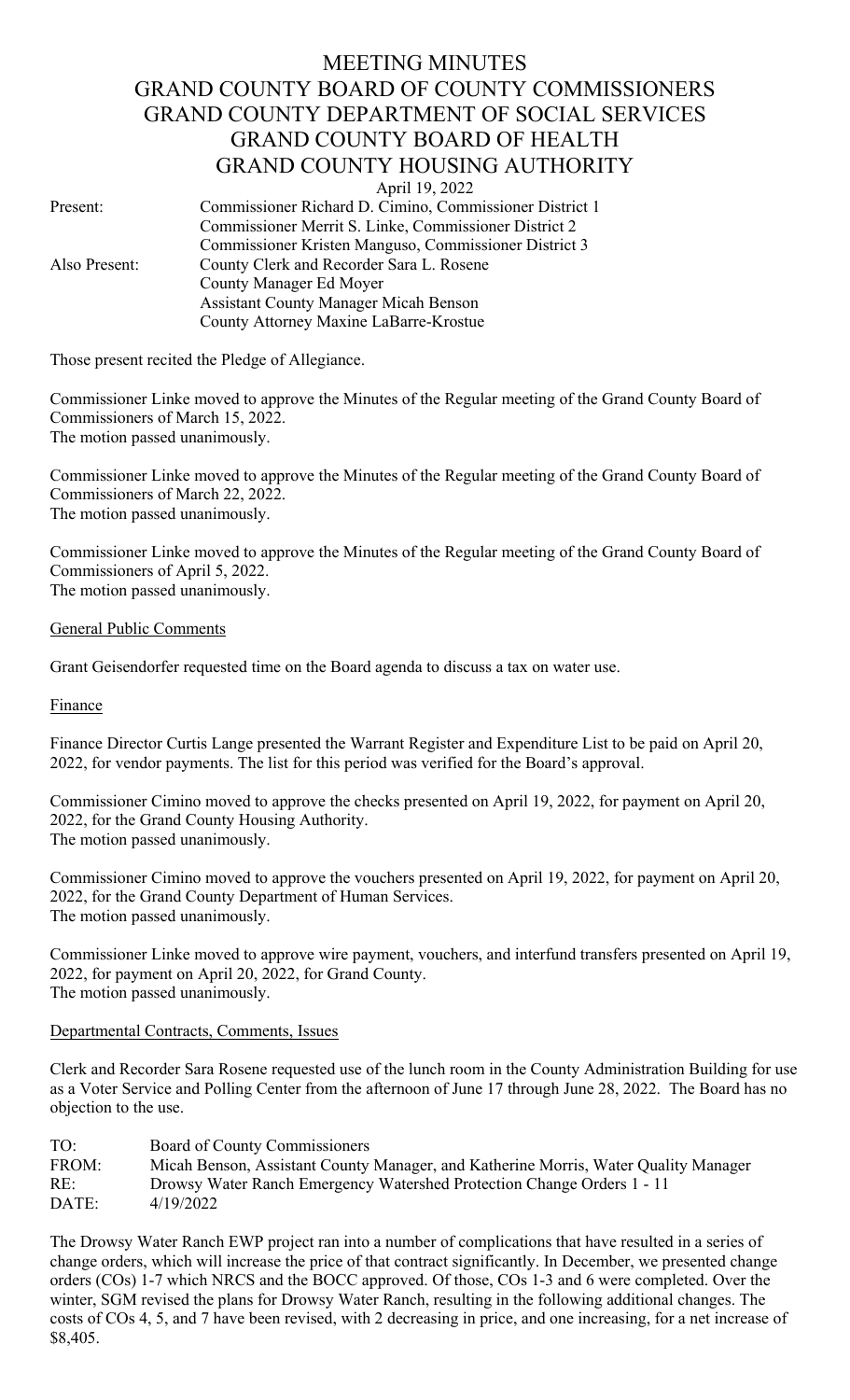# MEETING MINUTES GRAND COUNTY BOARD OF COUNTY COMMISSIONERS GRAND COUNTY DEPARTMENT OF SOCIAL SERVICES GRAND COUNTY BOARD OF HEALTH GRAND COUNTY HOUSING AUTHORITY

April 19, 2022

Present: Commissioner Richard D. Cimino, Commissioner District 1 Commissioner Merrit S. Linke, Commissioner District 2 Commissioner Kristen Manguso, Commissioner District 3 Also Present: County Clerk and Recorder Sara L. Rosene County Manager Ed Moyer Assistant County Manager Micah Benson County Attorney Maxine LaBarre-Krostue

Those present recited the Pledge of Allegiance.

Commissioner Linke moved to approve the Minutes of the Regular meeting of the Grand County Board of Commissioners of March 15, 2022. The motion passed unanimously.

Commissioner Linke moved to approve the Minutes of the Regular meeting of the Grand County Board of Commissioners of March 22, 2022. The motion passed unanimously.

Commissioner Linke moved to approve the Minutes of the Regular meeting of the Grand County Board of Commissioners of April 5, 2022. The motion passed unanimously.

General Public Comments

Grant Geisendorfer requested time on the Board agenda to discuss a tax on water use.

Finance

Finance Director Curtis Lange presented the Warrant Register and Expenditure List to be paid on April 20, 2022, for vendor payments. The list for this period was verified for the Board's approval.

Commissioner Cimino moved to approve the checks presented on April 19, 2022, for payment on April 20, 2022, for the Grand County Housing Authority. The motion passed unanimously.

Commissioner Cimino moved to approve the vouchers presented on April 19, 2022, for payment on April 20, 2022, for the Grand County Department of Human Services. The motion passed unanimously.

Commissioner Linke moved to approve wire payment, vouchers, and interfund transfers presented on April 19, 2022, for payment on April 20, 2022, for Grand County. The motion passed unanimously.

Departmental Contracts, Comments, Issues

Clerk and Recorder Sara Rosene requested use of the lunch room in the County Administration Building for use as a Voter Service and Polling Center from the afternoon of June 17 through June 28, 2022. The Board has no objection to the use.

| TO:   | Board of County Commissioners                                                       |
|-------|-------------------------------------------------------------------------------------|
| FROM: | Micah Benson, Assistant County Manager, and Katherine Morris, Water Quality Manager |
| RE:   | Drowsy Water Ranch Emergency Watershed Protection Change Orders 1 - 11              |
| DATE: | 4/19/2022                                                                           |

The Drowsy Water Ranch EWP project ran into a number of complications that have resulted in a series of change orders, which will increase the price of that contract significantly. In December, we presented change orders (COs) 1-7 which NRCS and the BOCC approved. Of those, COs 1-3 and 6 were completed. Over the winter, SGM revised the plans for Drowsy Water Ranch, resulting in the following additional changes. The costs of COs 4, 5, and 7 have been revised, with 2 decreasing in price, and one increasing, for a net increase of \$8,405.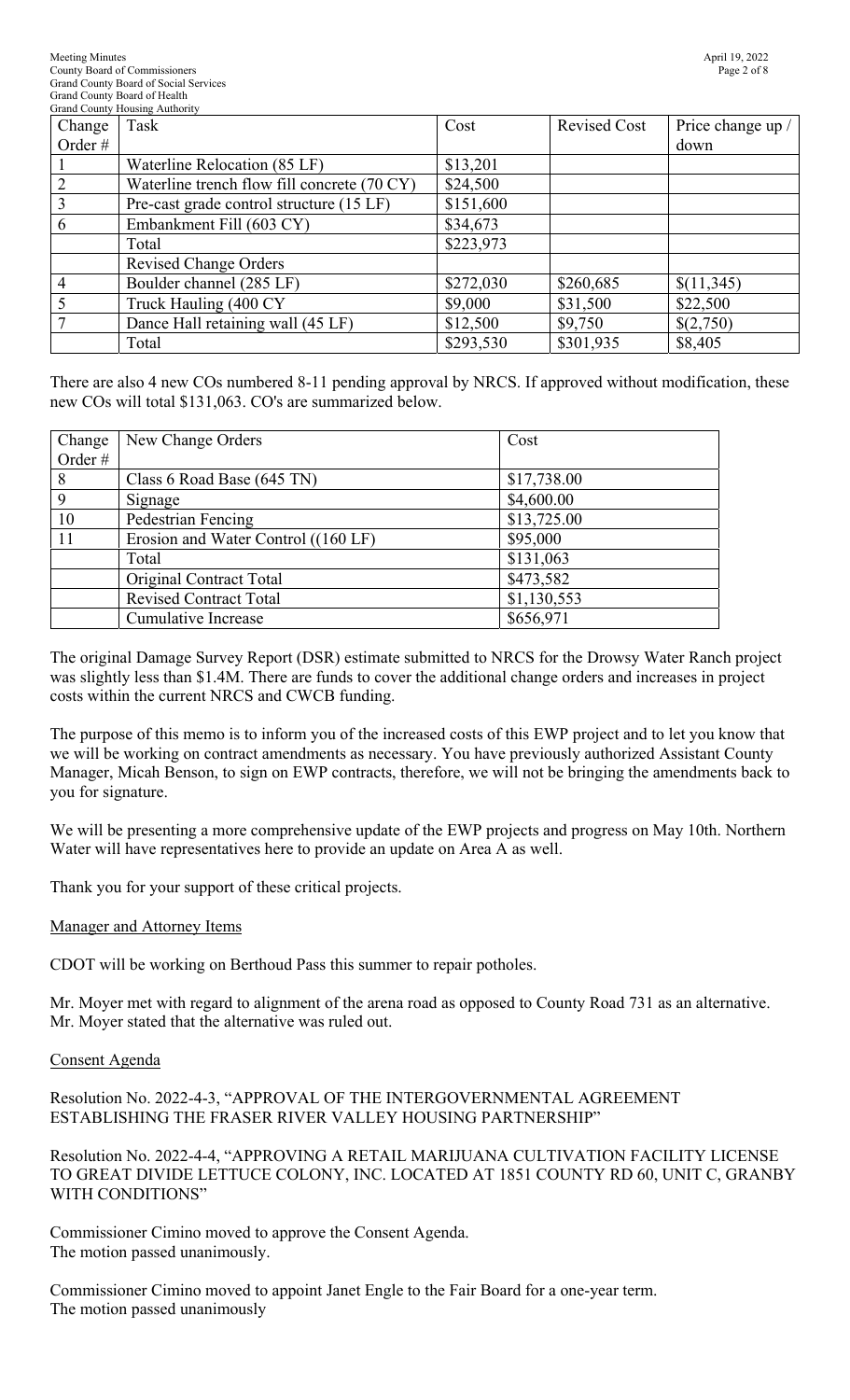|        | <b>Grand County Housing Authority</b>       |           |                     |                   |
|--------|---------------------------------------------|-----------|---------------------|-------------------|
| Change | Task                                        | Cost      | <b>Revised Cost</b> | Price change up / |
| Order# |                                             |           |                     | down              |
|        | Waterline Relocation (85 LF)                | \$13,201  |                     |                   |
|        | Waterline trench flow fill concrete (70 CY) | \$24,500  |                     |                   |
| 3      | Pre-cast grade control structure (15 LF)    | \$151,600 |                     |                   |
| 6      | Embankment Fill (603 CY)                    | \$34,673  |                     |                   |
|        | Total                                       | \$223,973 |                     |                   |
|        | <b>Revised Change Orders</b>                |           |                     |                   |
| 4      | Boulder channel (285 LF)                    | \$272,030 | \$260,685           | \$(11,345)        |
|        | Truck Hauling (400 CY)                      | \$9,000   | \$31,500            | \$22,500          |
|        | Dance Hall retaining wall (45 LF)           | \$12,500  | \$9,750             | \$(2,750)         |
|        | Total                                       | \$293,530 | \$301,935           | \$8,405           |

There are also 4 new COs numbered 8-11 pending approval by NRCS. If approved without modification, these new COs will total \$131,063. CO's are summarized below.

| Change  | New Change Orders                   | Cost        |
|---------|-------------------------------------|-------------|
| Order # |                                     |             |
| 8       | Class 6 Road Base (645 TN)          | \$17,738.00 |
| 9       | Signage                             | \$4,600.00  |
| 10      | Pedestrian Fencing                  | \$13,725.00 |
| 11      | Erosion and Water Control ((160 LF) | \$95,000    |
|         | Total                               | \$131,063   |
|         | Original Contract Total             | \$473,582   |
|         | <b>Revised Contract Total</b>       | \$1,130,553 |
|         | Cumulative Increase                 | \$656,971   |

The original Damage Survey Report (DSR) estimate submitted to NRCS for the Drowsy Water Ranch project was slightly less than \$1.4M. There are funds to cover the additional change orders and increases in project costs within the current NRCS and CWCB funding.

The purpose of this memo is to inform you of the increased costs of this EWP project and to let you know that we will be working on contract amendments as necessary. You have previously authorized Assistant County Manager, Micah Benson, to sign on EWP contracts, therefore, we will not be bringing the amendments back to you for signature.

We will be presenting a more comprehensive update of the EWP projects and progress on May 10th. Northern Water will have representatives here to provide an update on Area A as well.

Thank you for your support of these critical projects.

# Manager and Attorney Items

CDOT will be working on Berthoud Pass this summer to repair potholes.

Mr. Moyer met with regard to alignment of the arena road as opposed to County Road 731 as an alternative. Mr. Moyer stated that the alternative was ruled out.

# Consent Agenda

Resolution No. 2022-4-3, "APPROVAL OF THE INTERGOVERNMENTAL AGREEMENT ESTABLISHING THE FRASER RIVER VALLEY HOUSING PARTNERSHIP"

Resolution No. 2022-4-4, "APPROVING A RETAIL MARIJUANA CULTIVATION FACILITY LICENSE TO GREAT DIVIDE LETTUCE COLONY, INC. LOCATED AT 1851 COUNTY RD 60, UNIT C, GRANBY WITH CONDITIONS"

Commissioner Cimino moved to approve the Consent Agenda. The motion passed unanimously.

Commissioner Cimino moved to appoint Janet Engle to the Fair Board for a one-year term. The motion passed unanimously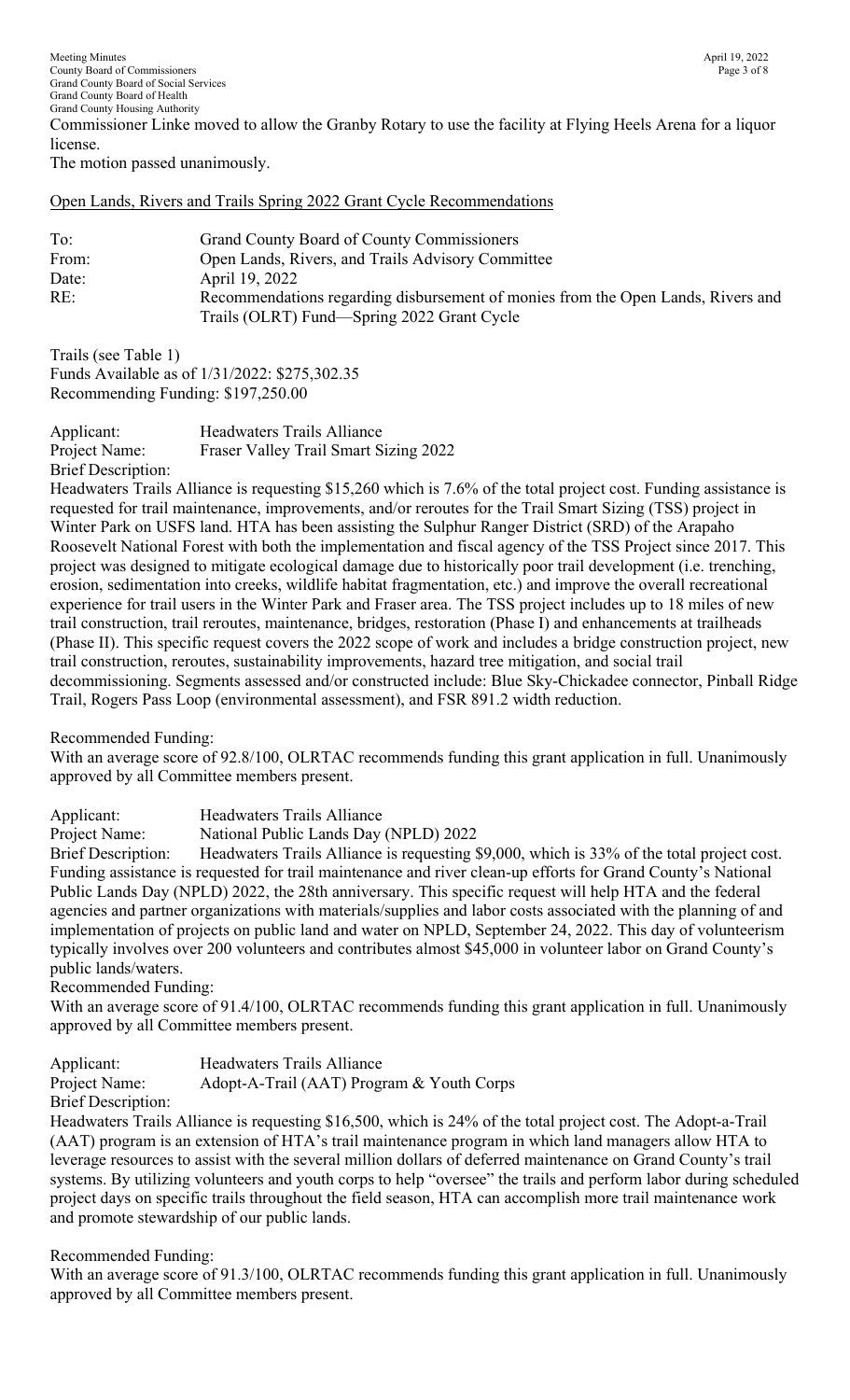Meeting Minutes April 19, 2022 County Board of Commissioners **Page 3 of 8** Grand County Board of Social Services Grand County Board of Health Grand County Housing Authority Commissioner Linke moved to allow the Granby Rotary to use the facility at Flying Heels Arena for a liquor license. The motion passed unanimously.

# Open Lands, Rivers and Trails Spring 2022 Grant Cycle Recommendations

| To:   | <b>Grand County Board of County Commissioners</b>                                |
|-------|----------------------------------------------------------------------------------|
| From: | Open Lands, Rivers, and Trails Advisory Committee                                |
| Date: | April 19, 2022                                                                   |
| RE:   | Recommendations regarding disbursement of monies from the Open Lands, Rivers and |
|       | Trails (OLRT) Fund—Spring 2022 Grant Cycle                                       |

Trails (see Table 1)

Funds Available as of 1/31/2022: \$275,302.35

Recommending Funding: \$197,250.00

Applicant: Headwaters Trails Alliance Project Name: Fraser Valley Trail Smart Sizing 2022 Brief Description:

Headwaters Trails Alliance is requesting \$15,260 which is 7.6% of the total project cost. Funding assistance is requested for trail maintenance, improvements, and/or reroutes for the Trail Smart Sizing (TSS) project in Winter Park on USFS land. HTA has been assisting the Sulphur Ranger District (SRD) of the Arapaho Roosevelt National Forest with both the implementation and fiscal agency of the TSS Project since 2017. This project was designed to mitigate ecological damage due to historically poor trail development (i.e. trenching, erosion, sedimentation into creeks, wildlife habitat fragmentation, etc.) and improve the overall recreational experience for trail users in the Winter Park and Fraser area. The TSS project includes up to 18 miles of new trail construction, trail reroutes, maintenance, bridges, restoration (Phase I) and enhancements at trailheads (Phase II). This specific request covers the 2022 scope of work and includes a bridge construction project, new trail construction, reroutes, sustainability improvements, hazard tree mitigation, and social trail decommissioning. Segments assessed and/or constructed include: Blue Sky-Chickadee connector, Pinball Ridge Trail, Rogers Pass Loop (environmental assessment), and FSR 891.2 width reduction.

Recommended Funding:

With an average score of 92.8/100, OLRTAC recommends funding this grant application in full. Unanimously approved by all Committee members present.

| Applicant:                | <b>Headwaters Trails Alliance</b>                                                                              |
|---------------------------|----------------------------------------------------------------------------------------------------------------|
| Project Name:             | National Public Lands Day (NPLD) 2022                                                                          |
| <b>Brief Description:</b> | Headwaters Trails Alliance is requesting \$9,000, which is 33% of the total project cost.                      |
|                           | Funding assistance is requested for trail maintenance and river clean-up efforts for Grand County's National   |
|                           | Public Lands Day (NPLD) 2022, the 28th anniversary. This specific request will help HTA and the federal        |
|                           | agencies and partner organizations with materials/supplies and labor costs associated with the planning of and |
|                           | implementation of projects on public land and water on NPLD, September 24, 2022. This day of volunteerism      |
|                           | typically involves over 200 volunteers and contributes almost \$45,000 in volunteer labor on Grand County's    |
| public lands/waters.      |                                                                                                                |
|                           |                                                                                                                |

Recommended Funding:

With an average score of 91.4/100, OLRTAC recommends funding this grant application in full. Unanimously approved by all Committee members present.

| Applicant:    | <b>Headwaters Trails Alliance</b>         |
|---------------|-------------------------------------------|
| Project Name: | Adopt-A-Trail (AAT) Program & Youth Corps |
| י היי ה       |                                           |

Brief Description:

Headwaters Trails Alliance is requesting \$16,500, which is 24% of the total project cost. The Adopt-a-Trail (AAT) program is an extension of HTA's trail maintenance program in which land managers allow HTA to leverage resources to assist with the several million dollars of deferred maintenance on Grand County's trail systems. By utilizing volunteers and youth corps to help "oversee" the trails and perform labor during scheduled project days on specific trails throughout the field season, HTA can accomplish more trail maintenance work and promote stewardship of our public lands.

Recommended Funding:

With an average score of 91.3/100, OLRTAC recommends funding this grant application in full. Unanimously approved by all Committee members present.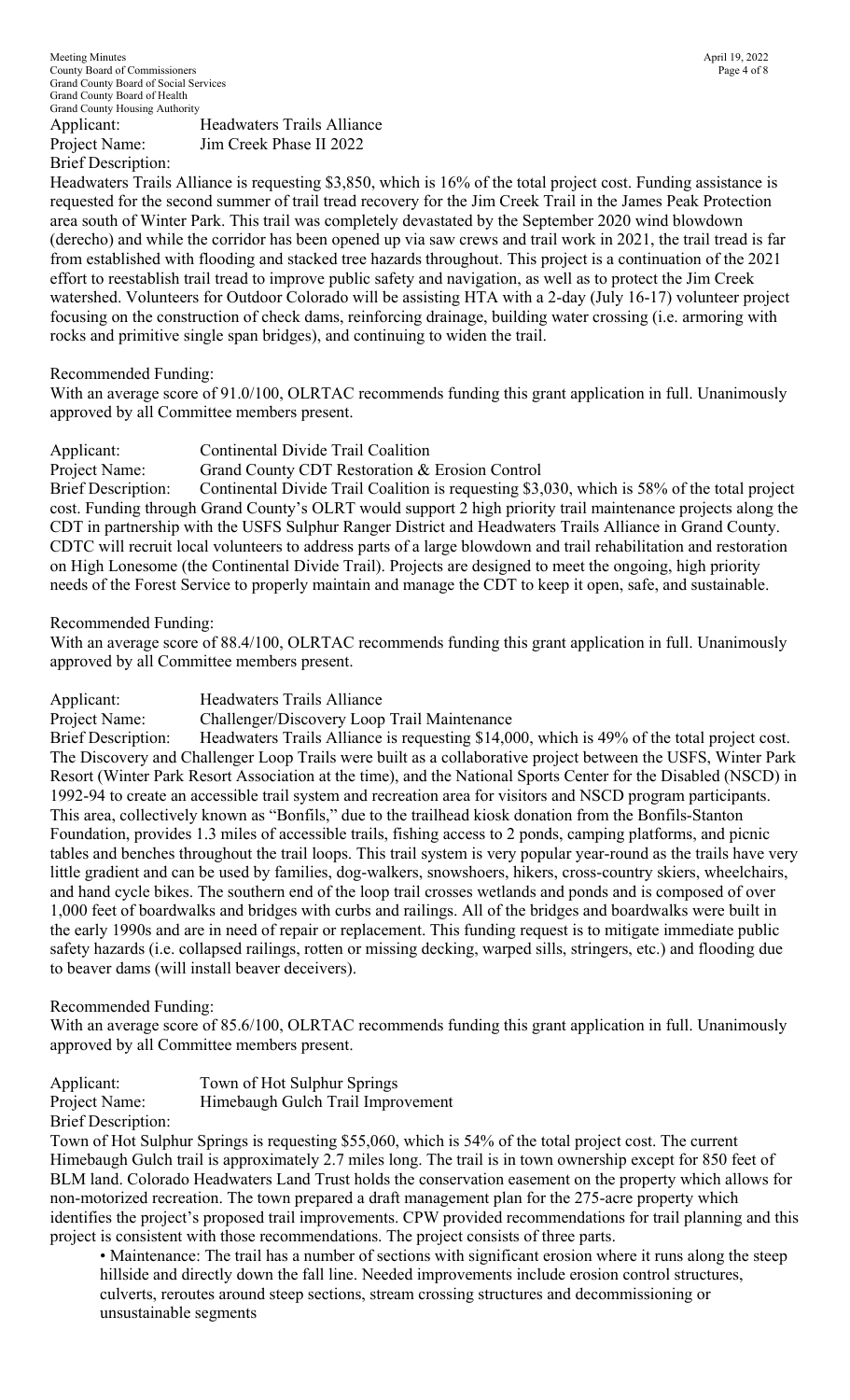Meeting Minutes April 19, 2022<br>County Board of Commissioners Page 4 of 8 County Board of Commissioners Grand County Board of Social Services Grand County Board of Health Grand County Housing Authority Applicant: Headwaters Trails Alliance Project Name: Jim Creek Phase II 2022 Brief Description:

Headwaters Trails Alliance is requesting \$3,850, which is 16% of the total project cost. Funding assistance is requested for the second summer of trail tread recovery for the Jim Creek Trail in the James Peak Protection area south of Winter Park. This trail was completely devastated by the September 2020 wind blowdown (derecho) and while the corridor has been opened up via saw crews and trail work in 2021, the trail tread is far from established with flooding and stacked tree hazards throughout. This project is a continuation of the 2021 effort to reestablish trail tread to improve public safety and navigation, as well as to protect the Jim Creek watershed. Volunteers for Outdoor Colorado will be assisting HTA with a 2-day (July 16-17) volunteer project focusing on the construction of check dams, reinforcing drainage, building water crossing (i.e. armoring with rocks and primitive single span bridges), and continuing to widen the trail.

#### Recommended Funding:

With an average score of 91.0/100, OLRTAC recommends funding this grant application in full. Unanimously approved by all Committee members present.

Applicant: Continental Divide Trail Coalition Project Name: Grand County CDT Restoration & Erosion Control Brief Description: Continental Divide Trail Coalition is requesting \$3,030, which is 58% of the total project cost. Funding through Grand County's OLRT would support 2 high priority trail maintenance projects along the CDT in partnership with the USFS Sulphur Ranger District and Headwaters Trails Alliance in Grand County. CDTC will recruit local volunteers to address parts of a large blowdown and trail rehabilitation and restoration on High Lonesome (the Continental Divide Trail). Projects are designed to meet the ongoing, high priority needs of the Forest Service to properly maintain and manage the CDT to keep it open, safe, and sustainable.

#### Recommended Funding:

With an average score of 88.4/100, OLRTAC recommends funding this grant application in full. Unanimously approved by all Committee members present.

Applicant: Headwaters Trails Alliance

Project Name: Challenger/Discovery Loop Trail Maintenance

Brief Description: Headwaters Trails Alliance is requesting \$14,000, which is 49% of the total project cost. The Discovery and Challenger Loop Trails were built as a collaborative project between the USFS, Winter Park Resort (Winter Park Resort Association at the time), and the National Sports Center for the Disabled (NSCD) in 1992-94 to create an accessible trail system and recreation area for visitors and NSCD program participants. This area, collectively known as "Bonfils," due to the trailhead kiosk donation from the Bonfils-Stanton Foundation, provides 1.3 miles of accessible trails, fishing access to 2 ponds, camping platforms, and picnic tables and benches throughout the trail loops. This trail system is very popular year-round as the trails have very little gradient and can be used by families, dog-walkers, snowshoers, hikers, cross-country skiers, wheelchairs, and hand cycle bikes. The southern end of the loop trail crosses wetlands and ponds and is composed of over 1,000 feet of boardwalks and bridges with curbs and railings. All of the bridges and boardwalks were built in the early 1990s and are in need of repair or replacement. This funding request is to mitigate immediate public safety hazards (i.e. collapsed railings, rotten or missing decking, warped sills, stringers, etc.) and flooding due to beaver dams (will install beaver deceivers).

#### Recommended Funding:

With an average score of 85.6/100, OLRTAC recommends funding this grant application in full. Unanimously approved by all Committee members present.

Applicant: Town of Hot Sulphur Springs

Project Name: Himebaugh Gulch Trail Improvement

Brief Description:

Town of Hot Sulphur Springs is requesting \$55,060, which is 54% of the total project cost. The current Himebaugh Gulch trail is approximately 2.7 miles long. The trail is in town ownership except for 850 feet of BLM land. Colorado Headwaters Land Trust holds the conservation easement on the property which allows for non-motorized recreation. The town prepared a draft management plan for the 275-acre property which identifies the project's proposed trail improvements. CPW provided recommendations for trail planning and this project is consistent with those recommendations. The project consists of three parts.

• Maintenance: The trail has a number of sections with significant erosion where it runs along the steep hillside and directly down the fall line. Needed improvements include erosion control structures, culverts, reroutes around steep sections, stream crossing structures and decommissioning or unsustainable segments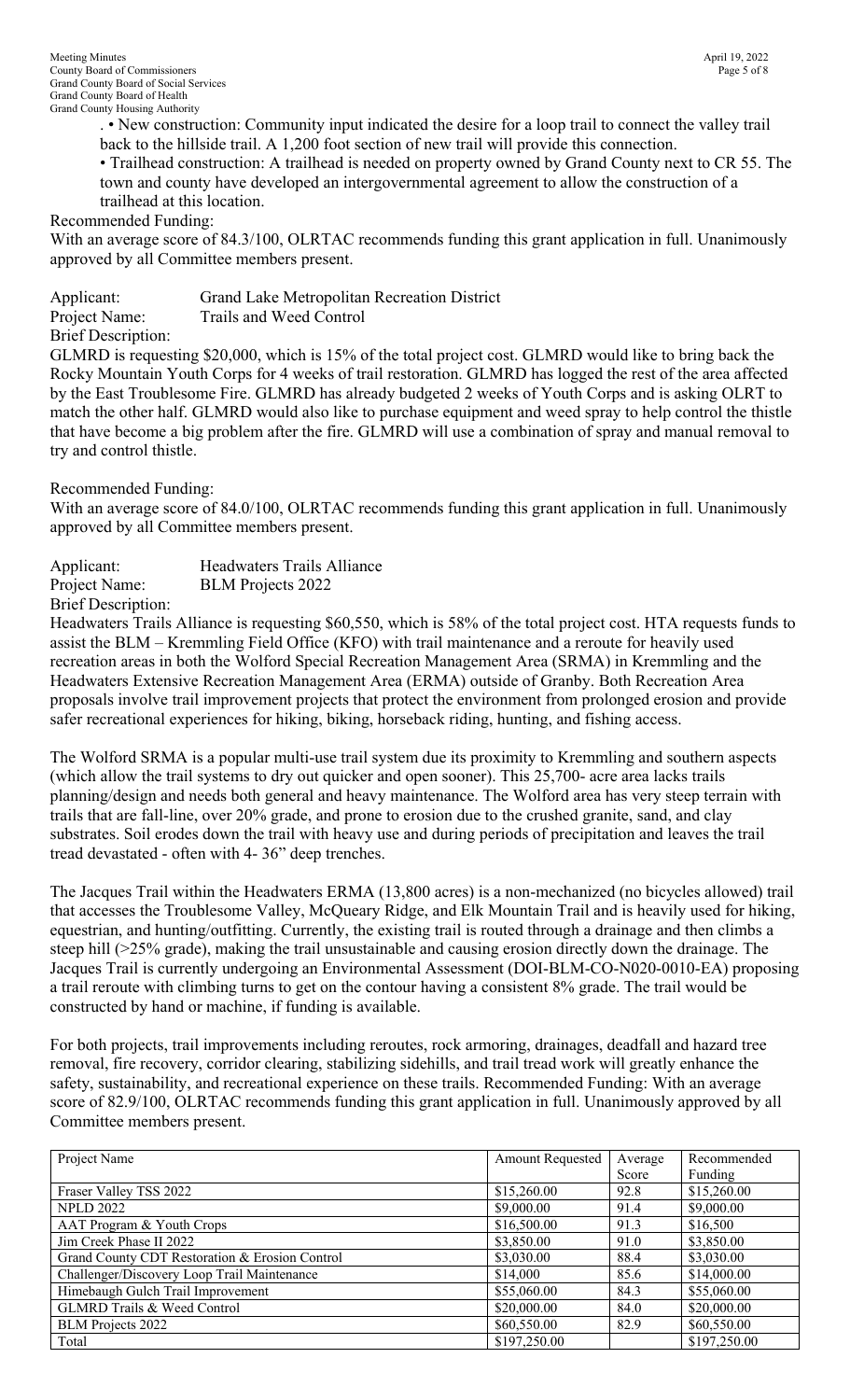. • New construction: Community input indicated the desire for a loop trail to connect the valley trail back to the hillside trail. A 1,200 foot section of new trail will provide this connection.

• Trailhead construction: A trailhead is needed on property owned by Grand County next to CR 55. The town and county have developed an intergovernmental agreement to allow the construction of a trailhead at this location.

Recommended Funding:

With an average score of 84.3/100, OLRTAC recommends funding this grant application in full. Unanimously approved by all Committee members present.

Applicant: Grand Lake Metropolitan Recreation District Project Name: Trails and Weed Control Brief Description:

GLMRD is requesting \$20,000, which is 15% of the total project cost. GLMRD would like to bring back the Rocky Mountain Youth Corps for 4 weeks of trail restoration. GLMRD has logged the rest of the area affected by the East Troublesome Fire. GLMRD has already budgeted 2 weeks of Youth Corps and is asking OLRT to match the other half. GLMRD would also like to purchase equipment and weed spray to help control the thistle that have become a big problem after the fire. GLMRD will use a combination of spray and manual removal to try and control thistle.

Recommended Funding:

With an average score of 84.0/100, OLRTAC recommends funding this grant application in full. Unanimously approved by all Committee members present.

| Applicant:                | Headwaters Trails Alliance |
|---------------------------|----------------------------|
| Project Name:             | <b>BLM</b> Projects 2022   |
| <b>Brief Description:</b> |                            |

Headwaters Trails Alliance is requesting \$60,550, which is 58% of the total project cost. HTA requests funds to assist the BLM – Kremmling Field Office (KFO) with trail maintenance and a reroute for heavily used recreation areas in both the Wolford Special Recreation Management Area (SRMA) in Kremmling and the Headwaters Extensive Recreation Management Area (ERMA) outside of Granby. Both Recreation Area proposals involve trail improvement projects that protect the environment from prolonged erosion and provide safer recreational experiences for hiking, biking, horseback riding, hunting, and fishing access.

The Wolford SRMA is a popular multi-use trail system due its proximity to Kremmling and southern aspects (which allow the trail systems to dry out quicker and open sooner). This 25,700- acre area lacks trails planning/design and needs both general and heavy maintenance. The Wolford area has very steep terrain with trails that are fall-line, over 20% grade, and prone to erosion due to the crushed granite, sand, and clay substrates. Soil erodes down the trail with heavy use and during periods of precipitation and leaves the trail tread devastated - often with 4- 36" deep trenches.

The Jacques Trail within the Headwaters ERMA (13,800 acres) is a non-mechanized (no bicycles allowed) trail that accesses the Troublesome Valley, McQueary Ridge, and Elk Mountain Trail and is heavily used for hiking, equestrian, and hunting/outfitting. Currently, the existing trail is routed through a drainage and then climbs a steep hill (>25% grade), making the trail unsustainable and causing erosion directly down the drainage. The Jacques Trail is currently undergoing an Environmental Assessment (DOI-BLM-CO-N020-0010-EA) proposing a trail reroute with climbing turns to get on the contour having a consistent 8% grade. The trail would be constructed by hand or machine, if funding is available.

For both projects, trail improvements including reroutes, rock armoring, drainages, deadfall and hazard tree removal, fire recovery, corridor clearing, stabilizing sidehills, and trail tread work will greatly enhance the safety, sustainability, and recreational experience on these trails. Recommended Funding: With an average score of 82.9/100, OLRTAC recommends funding this grant application in full. Unanimously approved by all Committee members present.

| Project Name                                   | <b>Amount Requested</b> | Average | Recommended  |
|------------------------------------------------|-------------------------|---------|--------------|
|                                                |                         | Score   | Funding      |
| Fraser Valley TSS 2022                         | \$15,260.00             | 92.8    | \$15,260.00  |
| <b>NPLD 2022</b>                               | \$9,000.00              | 91.4    | \$9,000.00   |
| AAT Program & Youth Crops                      | \$16,500.00             | 91.3    | \$16,500     |
| Jim Creek Phase II 2022                        | \$3,850.00              | 91.0    | \$3,850.00   |
| Grand County CDT Restoration & Erosion Control | \$3,030.00              | 88.4    | \$3,030.00   |
| Challenger/Discovery Loop Trail Maintenance    | \$14,000                | 85.6    | \$14,000.00  |
| Himebaugh Gulch Trail Improvement              | \$55,060.00             | 84.3    | \$55,060.00  |
| <b>GLMRD Trails &amp; Weed Control</b>         | \$20,000.00             | 84.0    | \$20,000.00  |
| <b>BLM</b> Projects 2022                       | \$60,550.00             | 82.9    | \$60,550.00  |
| Total                                          | \$197,250.00            |         | \$197,250.00 |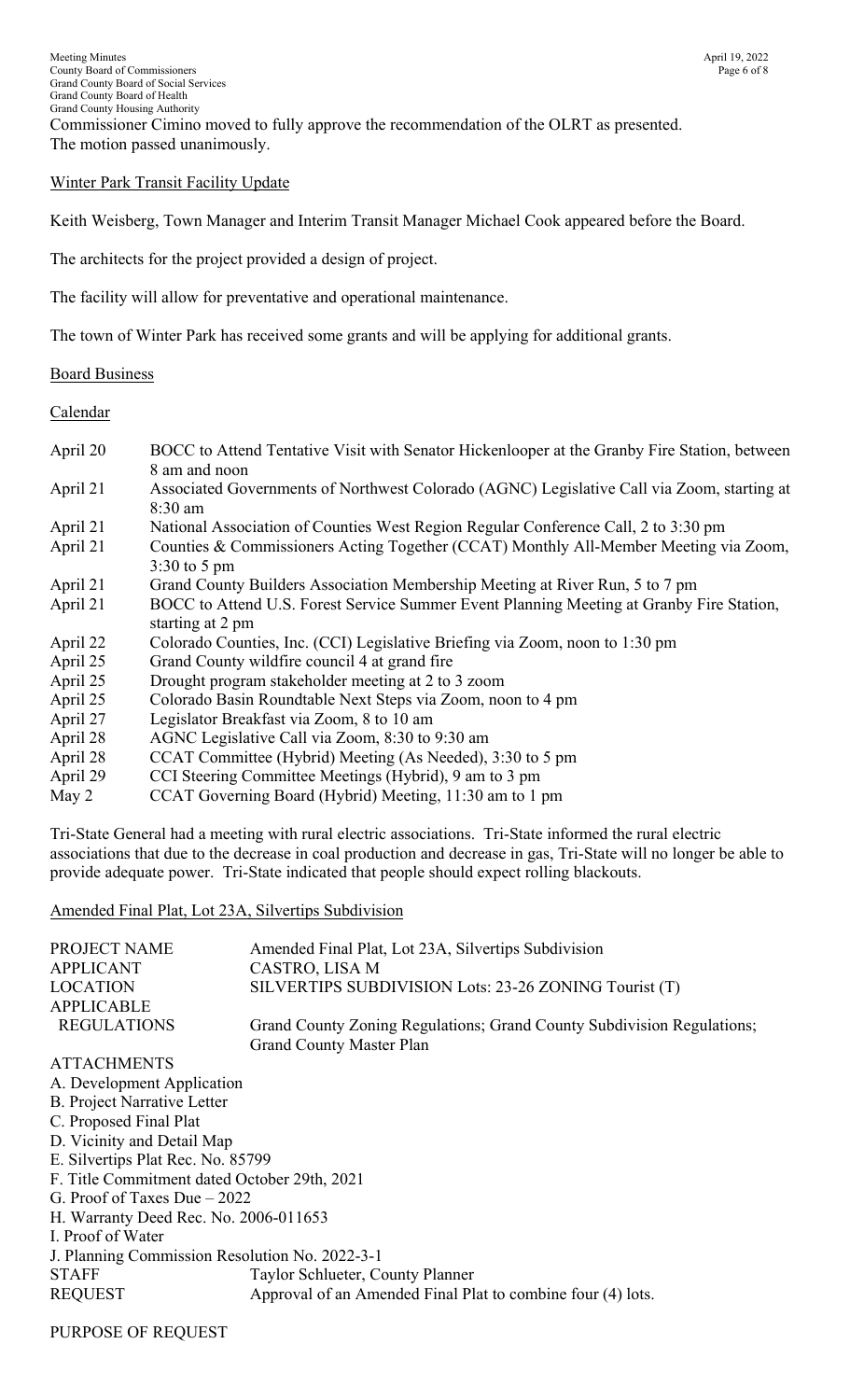Meeting Minutes April 19, 2022 County Board of Commissioners Page 6 of 8 Grand County Board of Social Services Grand County Board of Health Grand County Housing Authority Commissioner Cimino moved to fully approve the recommendation of the OLRT as presented. The motion passed unanimously.

# Winter Park Transit Facility Update

Keith Weisberg, Town Manager and Interim Transit Manager Michael Cook appeared before the Board.

The architects for the project provided a design of project.

The facility will allow for preventative and operational maintenance.

The town of Winter Park has received some grants and will be applying for additional grants.

# Board Business

Calendar

- April 20 BOCC to Attend Tentative Visit with Senator Hickenlooper at the Granby Fire Station, between 8 am and noon
- April 21 Associated Governments of Northwest Colorado (AGNC) Legislative Call via Zoom, starting at 8:30 am
- April 21 National Association of Counties West Region Regular Conference Call, 2 to 3:30 pm
- April 21 Counties & Commissioners Acting Together (CCAT) Monthly All-Member Meeting via Zoom, 3:30 to 5 pm
- April 21 Grand County Builders Association Membership Meeting at River Run, 5 to 7 pm
- April 21 BOCC to Attend U.S. Forest Service Summer Event Planning Meeting at Granby Fire Station, starting at 2 pm
- April 22 Colorado Counties, Inc. (CCI) Legislative Briefing via Zoom, noon to 1:30 pm
- April 25 Grand County wildfire council 4 at grand fire
- April 25 Drought program stakeholder meeting at 2 to 3 zoom
- April 25 Colorado Basin Roundtable Next Steps via Zoom, noon to 4 pm
- April 27 Legislator Breakfast via Zoom, 8 to 10 am
- April 28 AGNC Legislative Call via Zoom, 8:30 to 9:30 am
- April 28 CCAT Committee (Hybrid) Meeting (As Needed), 3:30 to 5 pm
- April 29 CCI Steering Committee Meetings (Hybrid), 9 am to 3 pm
- May 2 CCAT Governing Board (Hybrid) Meeting, 11:30 am to 1 pm

Tri-State General had a meeting with rural electric associations. Tri-State informed the rural electric associations that due to the decrease in coal production and decrease in gas, Tri-State will no longer be able to provide adequate power. Tri-State indicated that people should expect rolling blackouts.

Amended Final Plat, Lot 23A, Silvertips Subdivision

| PROJECT NAME      | Amended Final Plat, Lot 23A, Silvertips Subdivision                    |
|-------------------|------------------------------------------------------------------------|
| <b>APPLICANT</b>  | CASTRO, LISA M                                                         |
| <b>LOCATION</b>   | SILVERTIPS SUBDIVISION Lots: 23-26 ZONING Tourist (T)                  |
| <b>APPLICABLE</b> |                                                                        |
| REGULATIONS       | Grand County Zoning Regulations; Grand County Subdivision Regulations; |
|                   | <b>Grand County Master Plan</b>                                        |

# ATTACHMENTS

A. Development Application B. Project Narrative Letter C. Proposed Final Plat D. Vicinity and Detail Map E. Silvertips Plat Rec. No. 85799 F. Title Commitment dated October 29th, 2021 G. Proof of Taxes Due – 2022 H. Warranty Deed Rec. No. 2006-011653 I. Proof of Water J. Planning Commission Resolution No. 2022-3-1 STAFF Taylor Schlueter, County Planner REQUEST Approval of an Amended Final Plat to combine four (4) lots.

PURPOSE OF REQUEST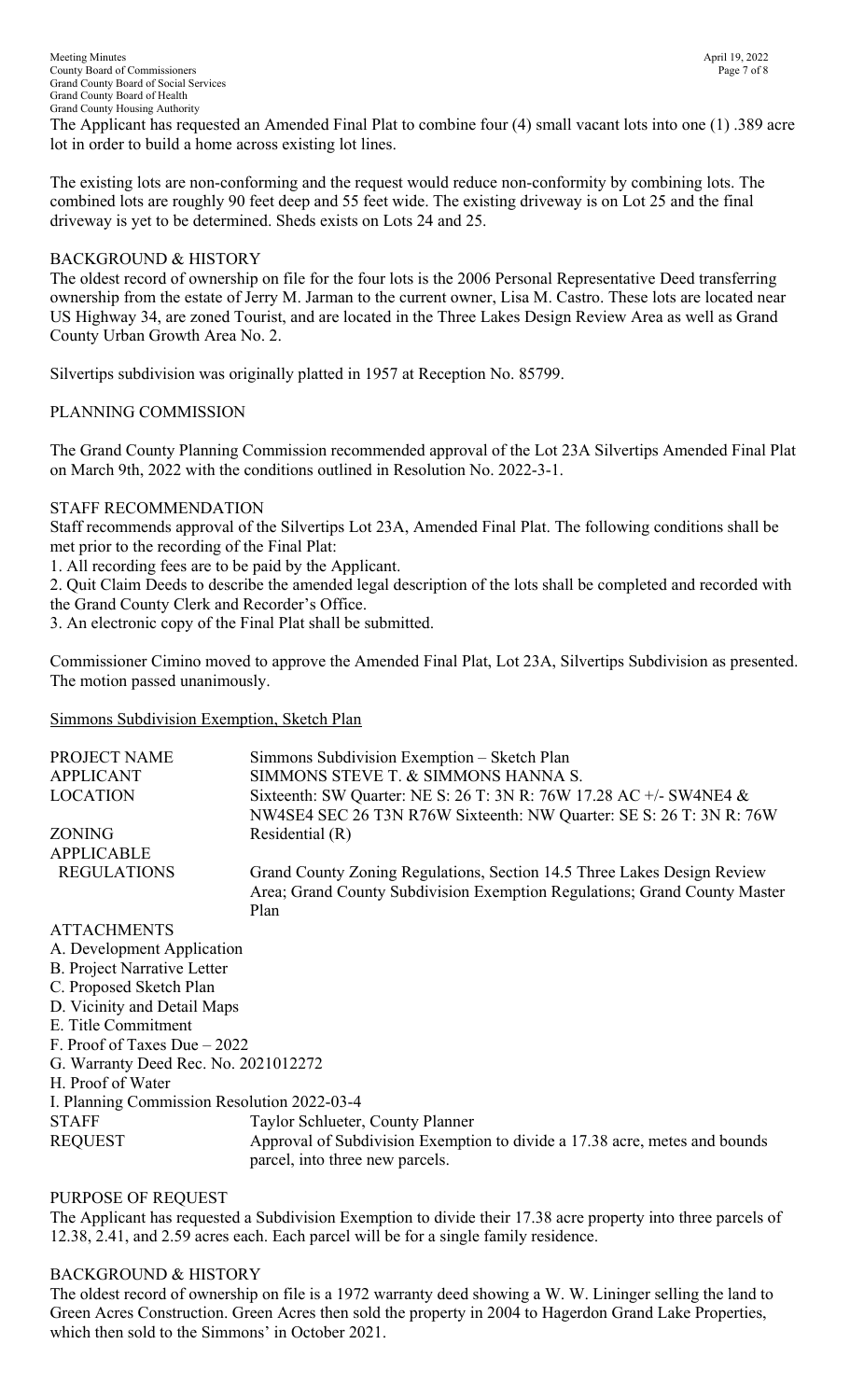The Applicant has requested an Amended Final Plat to combine four (4) small vacant lots into one (1) .389 acre lot in order to build a home across existing lot lines.

The existing lots are non-conforming and the request would reduce non-conformity by combining lots. The combined lots are roughly 90 feet deep and 55 feet wide. The existing driveway is on Lot 25 and the final driveway is yet to be determined. Sheds exists on Lots 24 and 25.

# BACKGROUND & HISTORY

The oldest record of ownership on file for the four lots is the 2006 Personal Representative Deed transferring ownership from the estate of Jerry M. Jarman to the current owner, Lisa M. Castro. These lots are located near US Highway 34, are zoned Tourist, and are located in the Three Lakes Design Review Area as well as Grand County Urban Growth Area No. 2.

Silvertips subdivision was originally platted in 1957 at Reception No. 85799.

#### PLANNING COMMISSION

The Grand County Planning Commission recommended approval of the Lot 23A Silvertips Amended Final Plat on March 9th, 2022 with the conditions outlined in Resolution No. 2022-3-1.

#### STAFF RECOMMENDATION

Staff recommends approval of the Silvertips Lot 23A, Amended Final Plat. The following conditions shall be met prior to the recording of the Final Plat:

1. All recording fees are to be paid by the Applicant.

2. Quit Claim Deeds to describe the amended legal description of the lots shall be completed and recorded with the Grand County Clerk and Recorder's Office.

3. An electronic copy of the Final Plat shall be submitted.

Commissioner Cimino moved to approve the Amended Final Plat, Lot 23A, Silvertips Subdivision as presented. The motion passed unanimously.

#### Simmons Subdivision Exemption, Sketch Plan

| PROJECT NAME                       | Simmons Subdivision Exemption - Sketch Plan                               |
|------------------------------------|---------------------------------------------------------------------------|
| <b>APPLICANT</b>                   | SIMMONS STEVE T. & SIMMONS HANNA S.                                       |
| <b>LOCATION</b>                    | Sixteenth: SW Quarter: NE S: 26 T: 3N R: 76W 17.28 AC $+/-$ SW4NE4 &      |
|                                    | NW4SE4 SEC 26 T3N R76W Sixteenth: NW Quarter: SE S: 26 T: 3N R: 76W       |
| <b>ZONING</b>                      | Residential (R)                                                           |
| <b>APPLICABLE</b>                  |                                                                           |
| <b>REGULATIONS</b>                 | Grand County Zoning Regulations, Section 14.5 Three Lakes Design Review   |
|                                    | Area; Grand County Subdivision Exemption Regulations; Grand County Master |
|                                    | Plan                                                                      |
| <b>ATTACHMENTS</b>                 |                                                                           |
| A. Development Application         |                                                                           |
| <b>B. Project Narrative Letter</b> |                                                                           |
| C. Proposed Sketch Plan            |                                                                           |
| D. Vicinity and Detail Maps        |                                                                           |
| E. Title Commitment                |                                                                           |
|                                    |                                                                           |

F. Proof of Taxes Due – 2022

G. Warranty Deed Rec. No. 2021012272 H. Proof of Water I. Planning Commission Resolution 2022-03-4 STAFF Taylor Schlueter, County Planner REQUEST Approval of Subdivision Exemption to divide a 17.38 acre, metes and bounds parcel, into three new parcels.

# PURPOSE OF REQUEST

The Applicant has requested a Subdivision Exemption to divide their 17.38 acre property into three parcels of 12.38, 2.41, and 2.59 acres each. Each parcel will be for a single family residence.

#### BACKGROUND & HISTORY

The oldest record of ownership on file is a 1972 warranty deed showing a W. W. Lininger selling the land to Green Acres Construction. Green Acres then sold the property in 2004 to Hagerdon Grand Lake Properties, which then sold to the Simmons' in October 2021.